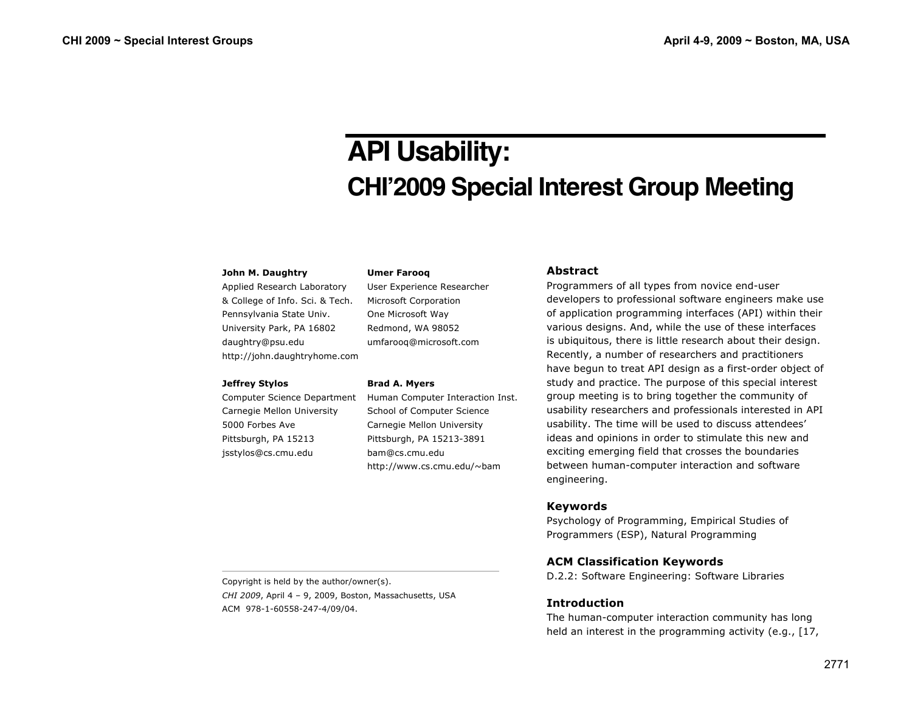# **API Usability: CHI'2009 Special Interest Group Meeting**

#### **John M. Daughtry**

Applied Research Laboratory & College of Info. Sci. & Tech. Pennsylvania State Univ. University Park, PA 16802 daughtry@psu.edu http://john.daughtryhome.com

#### **Jeffrey Stylos**

Computer Science Department Carnegie Mellon University 5000 Forbes Ave Pittsburgh, PA 15213 jsstylos@cs.cmu.edu

User Experience Researcher Microsoft Corporation One Microsoft Way Redmond, WA 98052 umfarooq@microsoft.com

#### **Brad A. Myers**

**Umer Farooq**

Human Computer Interaction Inst. School of Computer Science Carnegie Mellon University Pittsburgh, PA 15213-3891 bam@cs.cmu.edu http://www.cs.cmu.edu/~bam

## **Abstract**

Programmers of all types from novice end-user developers to professional software engineers make use of application programming interfaces (API) within their various designs. And, while the use of these interfaces is ubiquitous, there is little research about their design. Recently, a number of researchers and practitioners have begun to treat API design as a first-order object of study and practice. The purpose of this special interest group meeting is to bring together the community of usability researchers and professionals interested in API usability. The time will be used to discuss attendees' ideas and opinions in order to stimulate this new and exciting emerging field that crosses the boundaries between human-computer interaction and software engineering.

## **Keywords**

Psychology of Programming, Empirical Studies of Programmers (ESP), Natural Programming

# **ACM Classification Keywords**

D.2.2: Software Engineering: Software Libraries

# **Introduction**

The human-computer interaction community has long held an interest in the programming activity (e.g., [17,

Copyright is held by the author/owner(s). *CHI 2009*, April 4 – 9, 2009, Boston, Massachusetts, USA ACM 978-1-60558-247-4/09/04.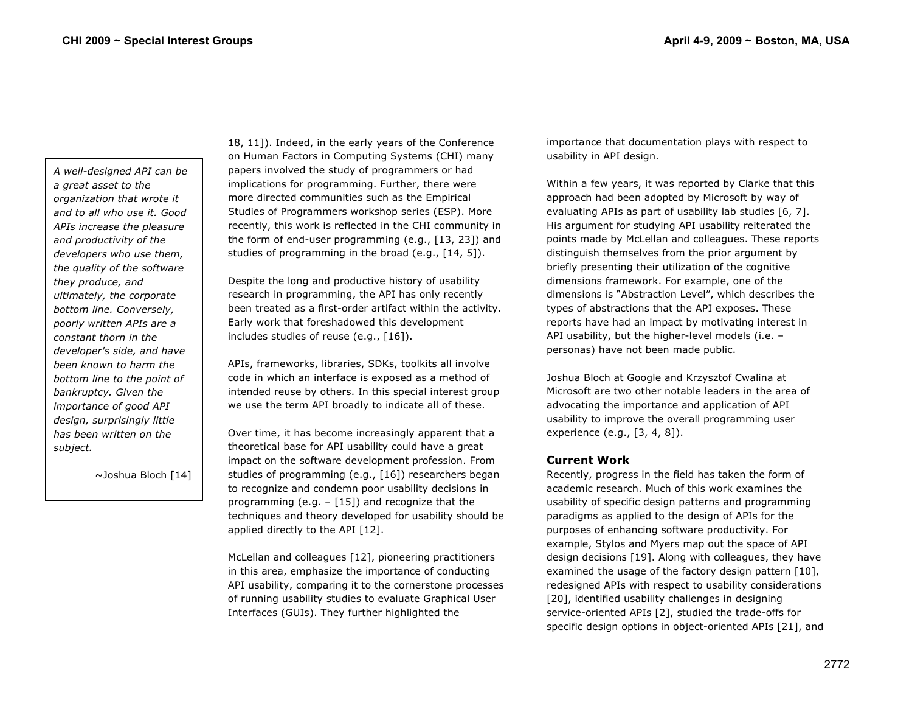*A well-designed API can be a great asset to the organization that wrote it and to all who use it. Good APIs increase the pleasure and productivity of the developers who use them, the quality of the software they produce, and ultimately, the corporate bottom line. Conversely, poorly written APIs are a constant thorn in the developer's side, and have been known to harm the bottom line to the point of bankruptcy. Given the importance of good API design, surprisingly little has been written on the subject.*

~Joshua Bloch [14]

18, 11]). Indeed, in the early years of the Conference on Human Factors in Computing Systems (CHI) many papers involved the study of programmers or had implications for programming. Further, there were more directed communities such as the Empirical Studies of Programmers workshop series (ESP). More recently, this work is reflected in the CHI community in the form of end-user programming (e.g., [13, 23]) and studies of programming in the broad (e.g., [14, 5]).

Despite the long and productive history of usability research in programming, the API has only recently been treated as a first-order artifact within the activity. Early work that foreshadowed this development includes studies of reuse (e.g., [16]).

APIs, frameworks, libraries, SDKs, toolkits all involve code in which an interface is exposed as a method of intended reuse by others. In this special interest group we use the term API broadly to indicate all of these.

Over time, it has become increasingly apparent that a theoretical base for API usability could have a great impact on the software development profession. From studies of programming (e.g., [16]) researchers began to recognize and condemn poor usability decisions in programming (e.g.  $-$  [15]) and recognize that the techniques and theory developed for usability should be applied directly to the API [12].

McLellan and colleagues [12], pioneering practitioners in this area, emphasize the importance of conducting API usability, comparing it to the cornerstone processes of running usability studies to evaluate Graphical User Interfaces (GUIs). They further highlighted the

importance that documentation plays with respect to usability in API design.

Within a few years, it was reported by Clarke that this approach had been adopted by Microsoft by way of evaluating APIs as part of usability lab studies [6, 7]. His argument for studying API usability reiterated the points made by McLellan and colleagues. These reports distinguish themselves from the prior argument by briefly presenting their utilization of the cognitive dimensions framework. For example, one of the dimensions is "Abstraction Level", which describes the types of abstractions that the API exposes. These reports have had an impact by motivating interest in API usability, but the higher-level models (i.e. – personas) have not been made public.

Joshua Bloch at Google and Krzysztof Cwalina at Microsoft are two other notable leaders in the area of advocating the importance and application of API usability to improve the overall programming user experience (e.g., [3, 4, 8]).

# **Current Work**

Recently, progress in the field has taken the form of academic research. Much of this work examines the usability of specific design patterns and programming paradigms as applied to the design of APIs for the purposes of enhancing software productivity. For example, Stylos and Myers map out the space of API design decisions [19]. Along with colleagues, they have examined the usage of the factory design pattern [10], redesigned APIs with respect to usability considerations [20], identified usability challenges in designing service-oriented APIs [2], studied the trade-offs for specific design options in object-oriented APIs [21], and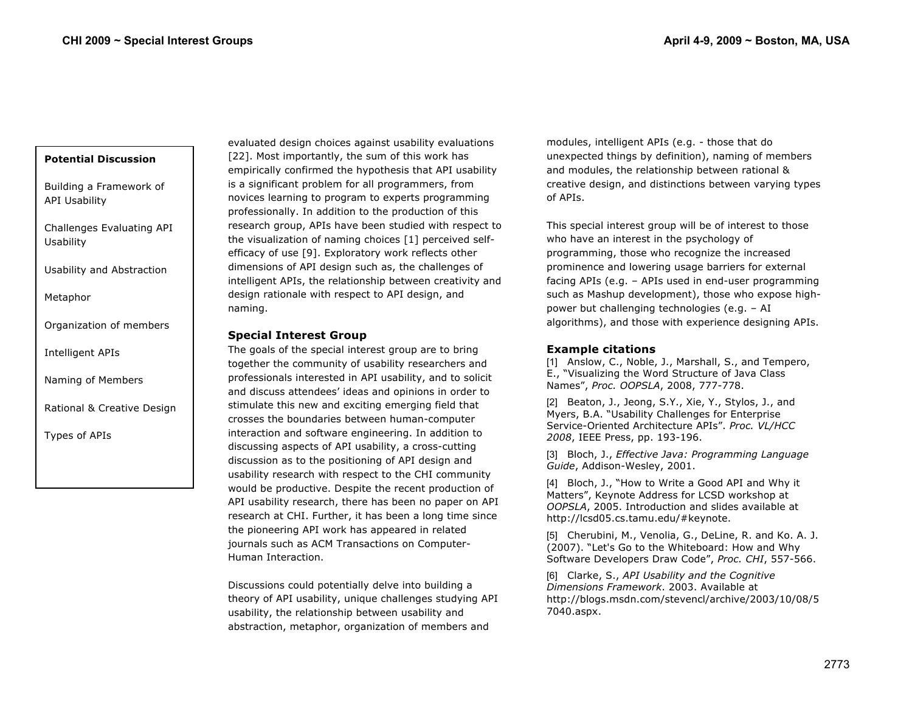### **Potential Discussion**

Building a Framework of API Usability

Challenges Evaluating API Usability

Usability and Abstraction

Metaphor

Organization of members

Intelligent APIs

Naming of Members

Rational & Creative Design

Types of APIs

evaluated design choices against usability evaluations [22]. Most importantly, the sum of this work has empirically confirmed the hypothesis that API usability is a significant problem for all programmers, from novices learning to program to experts programming professionally. In addition to the production of this research group, APIs have been studied with respect to the visualization of naming choices [1] perceived selfefficacy of use [9]. Exploratory work reflects other dimensions of API design such as, the challenges of intelligent APIs, the relationship between creativity and design rationale with respect to API design, and naming.

## **Special Interest Group**

The goals of the special interest group are to bring together the community of usability researchers and professionals interested in API usability, and to solicit and discuss attendees' ideas and opinions in order to stimulate this new and exciting emerging field that crosses the boundaries between human-computer interaction and software engineering. In addition to discussing aspects of API usability, a cross-cutting discussion as to the positioning of API design and usability research with respect to the CHI community would be productive. Despite the recent production of API usability research, there has been no paper on API research at CHI. Further, it has been a long time since the pioneering API work has appeared in related journals such as ACM Transactions on Computer-Human Interaction.

Discussions could potentially delve into building a theory of API usability, unique challenges studying API usability, the relationship between usability and abstraction, metaphor, organization of members and

modules, intelligent APIs (e.g. - those that do unexpected things by definition), naming of members and modules, the relationship between rational & creative design, and distinctions between varying types of APIs.

This special interest group will be of interest to those who have an interest in the psychology of programming, those who recognize the increased prominence and lowering usage barriers for external facing APIs (e.g. – APIs used in end-user programming such as Mashup development), those who expose highpower but challenging technologies (e.g. – AI algorithms), and those with experience designing APIs.

# **Example citations**

[1] Anslow, C., Noble, J., Marshall, S., and Tempero, E., "Visualizing the Word Structure of Java Class Names", *Proc. OOPSLA*, 2008, 777-778.

[2] Beaton, J., Jeong, S.Y., Xie, Y., Stylos, J., and Myers, B.A. "Usability Challenges for Enterprise Service-Oriented Architecture APIs". *Proc. VL/HCC 2008*, IEEE Press, pp. 193-196.

[3] Bloch, J., *Effective Java: Programming Language Guide*, Addison-Wesley, 2001.

[4] Bloch, J., "How to Write a Good API and Why it Matters", Keynote Address for LCSD workshop at *OOPSLA*, 2005. Introduction and slides available at http://lcsd05.cs.tamu.edu/#keynote.

[5] Cherubini, M., Venolia, G., DeLine, R. and Ko. A. J. (2007). "Let's Go to the Whiteboard: How and Why Software Developers Draw Code", *Proc. CHI*, 557-566.

[6] Clarke, S., *API Usability and the Cognitive Dimensions Framework*. 2003. Available at http://blogs.msdn.com/stevencl/archive/2003/10/08/5 7040.aspx.